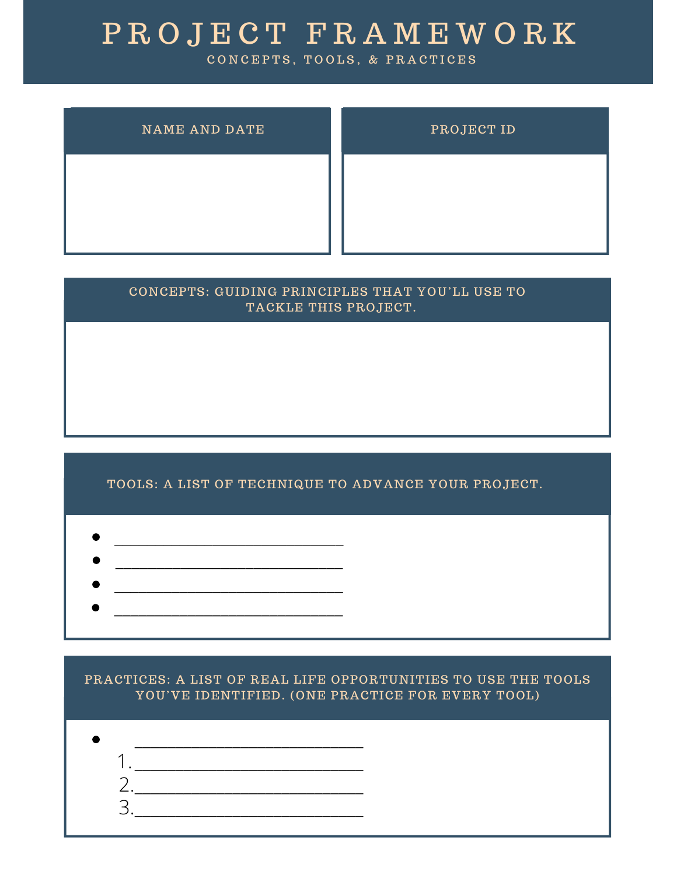## P R O J E C T F R A M E W O R K

CONCEPTS, TOOLS, & PRACTICES

| <b>NAME AND DATE</b> | PROJECT ID |
|----------------------|------------|
|                      |            |
|                      |            |

# CONCEPTS: GUIDING PRINCIPLES THAT YOU'LL USE TO TACKLE THIS PROJECT.

#### TOOLS: A LIST OF TECHNIQUE TO ADVANCE YOUR PROJECT.

- $\mathcal{L}_\text{max}$  , where  $\mathcal{L}_\text{max}$  is the set of the set of the set of the set of the set of the set of the set of the set of the set of the set of the set of the set of the set of the set of the set of the set of the se
- $\mathcal{L}=\{1,2,3,4,5\}$  , we can assume that the contract of  $\mathcal{L}=\{1,2,3,4,5\}$
- $\mathcal{L}_\text{max}$  and  $\mathcal{L}_\text{max}$  and  $\mathcal{L}_\text{max}$  and  $\mathcal{L}_\text{max}$
- \_\_\_\_\_\_\_\_\_\_\_\_\_\_\_\_\_\_\_\_\_\_\_\_\_\_\_\_
- 

#### PRACTICES: A LIST OF REAL LIFE OPPORTUNITIES TO USE THE TOOLS YOU'VE IDENTIFIED. (ONE PRACTICE FOR EVERY TOOL)